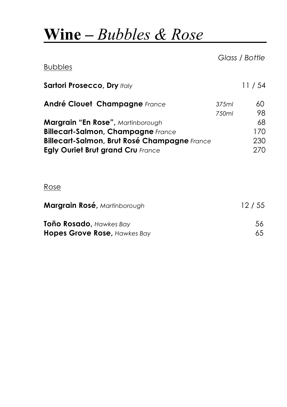# **Wine –** *Bubbles & Rose*

|       | Glass / Bottle |
|-------|----------------|
|       | 11/54          |
| 375ml | 60<br>98       |
|       | 68<br>170      |
|       | 230<br>270     |
|       | 750ml          |

#### Rose

| Margrain Rosé, Martinborough | 12/55 |
|------------------------------|-------|
| Toño Rosado, Hawkes Bay      | .56   |
| Hopes Grove Rose, Hawkes Bay | 65    |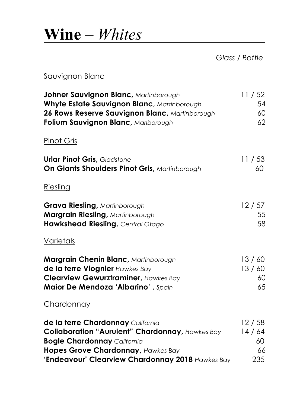# **Wine –** *Whites*

*Glass / Bottle*

#### Sauvignon Blanc

| Johner Sauvignon Blanc, Martinborough                  | 11/52 |
|--------------------------------------------------------|-------|
| Whyte Estate Sauvignon Blanc, Martinborough            | 54    |
| 26 Rows Reserve Sauvignon Blanc, Martinborough         | 60    |
| Folium Sauvignon Blanc, Marlborough                    | 62    |
| <b>Pinot Gris</b>                                      |       |
| <b>Urlar Pinot Gris, Gladstone</b>                     | 11/53 |
| On Giants Shoulders Pinot Gris, Martinborough          | 60    |
| Riesling                                               |       |
| <b>Grava Riesling, Martinborough</b>                   | 12/57 |
| Margrain Riesling, Martinborough                       | 55    |
| Hawkshead Riesling, Central Otago                      | 58    |
| Varietals                                              |       |
| Margrain Chenin Blanc, Martinborough                   | 13/60 |
| de la terre Viognier Hawkes Bay                        | 13/60 |
| <b>Clearview Gewurztraminer, Hawkes Bay</b>            | 60    |
| Maior De Mendoza 'Albarino', Spain                     | 65    |
| Chardonnay                                             |       |
| de la terre Chardonnay California                      | 12/58 |
| <b>Collaboration "Aurulent" Chardonnay, Hawkes Bay</b> | 14/64 |
| <b>Bogle Chardonnay California</b>                     | 60    |
| Hopes Grove Chardonnay, Hawkes Bay                     | 66    |
| 'Endeavour' Clearview Chardonnay 2018 Hawkes Bay       | 235   |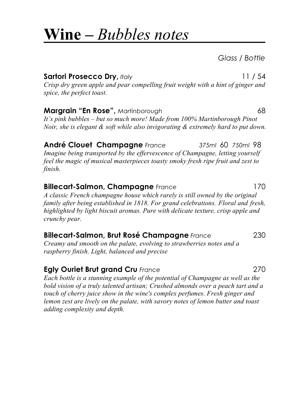### **Wine –** *Bubbles notes*

*Glass / Bottle*

**Sartori Prosecco Dry,** *Italy* 11 / 54 *Crisp dry green apple and pear compelling fruit weight with a hint of ginger and spice, the perfect toast.*

**Margrain "En Rose",** *Martinborough* 68 *It's pink bubbles – but so much more! Made from 100% Martinborough Pinot Noir, she is elegant & soft while also invigorating & extremely hard to put down.*

**André Clouet Champagne** *France 375ml* 60 *750ml* 98 *Imagine being transported by the effervescence of Champagne, letting yourself feel the magic of musical masterpieces toasty smoky fresh ripe fruit and zest to finish.*

#### **Billecart-Salmon, Champagne** *France* 170

*A classic French champagne house which rarely is still owned by the original family after being established in 1818. For grand celebrations. Floral and fresh, highlighted by light biscuit aromas. Pure with delicate texture, crisp apple and crunchy pear.*

#### **Billecart-Salmon, Brut Rosé Champagne** *France* 230

*Creamy and smooth on the palate, evolving to strawberries notes and a raspberry finish. Light, balanced and precise*

#### **Egly Ouriet Brut grand Cru** *France* 270

*Each bottle is a stunning example of the potential of Champagne as well as the bold vision of a truly talented artisan; Crushed almonds over a peach tart and a touch of cherry juice show in the wine's complex perfumes. Fresh ginger and lemon zest are lively on the palate, with savory notes of lemon butter and toast adding complexity and depth.*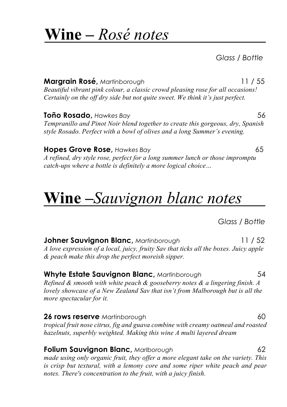### **Wine –** *Rosé notes*

*Glass / Bottle*

**Margrain Rosé,** *Martinborough* 11 / 55 *Beautiful vibrant pink colour, a classic crowd pleasing rose for all occasions! Certainly on the off dry side but not quite sweet. We think it's just perfect.*

**Toño Rosado**, *Hawkes Bay* 56 *Tempranillo and Pinot Noir blend together to create this gorgeous, dry, Spanish style Rosado. Perfect with a bowl of olives and a long Summer's evening.* 

#### **Hopes Grove Rose,** *Hawkes Bay* 65

*A refined, dry style rose, perfect for a long summer lunch or those impromptu catch-ups where a bottle is definitely a more logical choice…* 

# **Wine –***Sauvignon blanc notes*

*Glass / Bottle*

**Johner Sauvignon Blanc,** *Martinborough* 11 / 52 *A love expression of a local, juicy, fruity Sav that ticks all the boxes. Juicy apple & peach make this drop the perfect moreish sipper.* 

#### **Whyte Estate Sauvignon Blanc,** *Martinborough* 54

*Refined & smooth with white peach & gooseberry notes & a lingering finish. A lovely showcase of a New Zealand Sav that isn't from Malborough but is all the more spectacular for it.* 

**26 rows reserve** *Martinborough* **60 60** *tropical fruit nose citrus, fig and guava combine with creamy oatmeal and roasted hazelnuts, superbly weighted. Making this wine A multi layered dream*

#### **Folium Sauvignon Blanc,** *Marlborough* 62

*made using only organic fruit, they offer a more elegant take on the variety. This is crisp but textural, with a lemony core and some riper white peach and pear notes. There's concentration to the fruit, with a juicy finish.*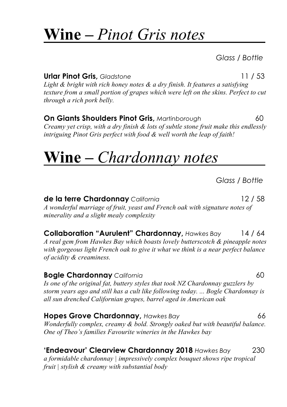# **Wine –** *Pinot Gris notes*

*Glass / Bottle*

**Urlar Pinot Gris,** *Gladstone* 11 / 53

*Light & bright with rich honey notes & a dry finish. It features a satisfying texture from a small portion of grapes which were left on the skins. Perfect to cut through a rich pork belly.* 

**On Giants Shoulders Pinot Gris,** *Martinborough* **60** *Creamy yet crisp, with a dry finish & lots of subtle stone fruit make this endlessly intriguing Pinot Gris perfect with food & well worth the leap of faith!*

# **Wine –** *Chardonnay notes*

*Glass / Bottle*

**de la terre Chardonnay** *California* 12 / 58 *A wonderful marriage of fruit, yeast and French oak with signature notes of minerality and a slight mealy complexity*

**Collaboration "Aurulent" Chardonnay,** *Hawkes Bay* 14 / 64 *A real gem from Hawkes Bay which boasts lovely butterscotch & pineapple notes with gorgeous light French oak to give it what we think is a near perfect balance of acidity & creaminess.* 

**Bogle Chardonnay** *California* **1999 1999 1999 1999 1999 1999 1999 1999 1999 1999 1999 1999 1999 1999 1999 1999 1999 1999 1999 1999 1999 1999 1999 1999 1999 1999 1999** *Is one of the original fat, buttery styles that took NZ Chardonnay guzzlers by storm years ago and still has a cult like following today. ... Bogle Chardonnay is all sun drenched Californian grapes, barrel aged in American oak*

**Hopes Grove Chardonnay,** *Hawkes Bay*66 *Wonderfully complex, creamy & bold. Strongly oaked but with beautiful balance. One of Theo's families Favourite wineries in the Hawkes bay*

#### **'Endeavour' Clearview Chardonnay 2018** *Hawkes Bay*230

*a formidable chardonnay | impressively complex bouquet shows ripe tropical fruit | stylish & creamy with substantial body*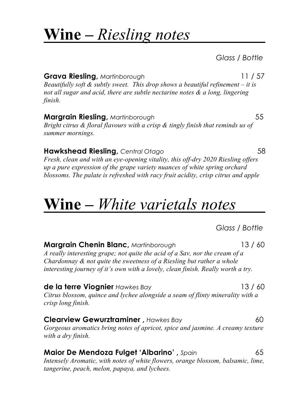### **Wine –** *Riesling notes*

*Glass / Bottle*

**Grava Riesling, Martinborough 11 / 57 (1998)** *Beautifully soft & subtly sweet. This drop shows a beautiful refinement – it is not all sugar and acid, there are subtle nectarine notes & a long, lingering finish.*

**Margrain Riesling,** *Martinborough* 55 *Bright citrus & floral flavours with a crisp & tingly finish that reminds us of summer mornings.*

**Hawkshead Riesling,** *Central Otago* 58 *Fresh, clean and with an eye-opening vitality, this off-dry 2020 Riesling offers up a pure expression of the grape variety nuances of white spring orchard blossoms. The palate is refreshed with racy fruit acidity, crisp citrus and apple*

## **Wine –** *White varietals notes*

#### *Glass / Bottle*

**Margrain Chenin Blanc,** *Martinborough* 13 / 60 *A really interesting grape; not quite the acid of a Sav, nor the cream of a Chardonnay & not quite the sweetness of a Riesling but rather a whole interesting journey of it's own with a lovely, clean finish. Really worth a try.*

**de la terre Viognier** *Hawkes Bay* 13 / 60 *Citrus blossom, quince and lychee alongside a seam of flinty minerality with a crisp long finish.*

**Clearview Gewurztraminer**, *Hawkes Bay* 60 *Gorgeous aromatics bring notes of apricot, spice and jasmine. A creamy texture with a dry finish.*

**Maior De Mendoza Fulget 'Albarino' ,** *Spain* 65 *Intensely Aromatic, with notes of white flowers, orange blossom, balsamic, lime, tangerine, peach, melon, papaya, and lychees.*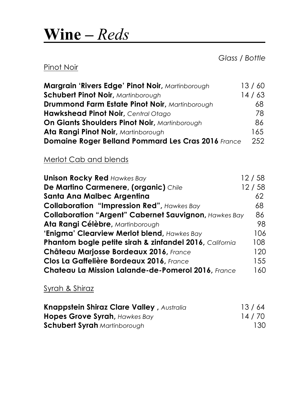## **Wine –** *Reds*

*Glass / Bottle*

#### Pinot Noir

| Margrain 'Rivers Edge' Pinot Noir, Martinborough      | 13/60 |
|-------------------------------------------------------|-------|
| <b>Schubert Pinot Noir, Martinborough</b>             | 14/63 |
| <b>Drummond Farm Estate Pinot Noir, Martinborough</b> | 68    |
| Hawkshead Pinot Noir, Central Otago                   | 78    |
| On Giants Shoulders Pinot Noir, Martinborough         | 86.   |
| Ata Rangi Pinot Noir, Martinborough                   | 165   |
| Domaine Roger Belland Pommard Les Cras 2016 France    | 252   |

#### Merlot Cab and blends

| <b>Unison Rocky Red Hawkes Bay</b>                           | 12/58 |
|--------------------------------------------------------------|-------|
| De Martino Carmenere, (organic) Chile                        | 12/58 |
| Santa Ana Malbec Argentina                                   | 62    |
| <b>Collaboration "Impression Red", Hawkes Bay</b>            | 68    |
| <b>Collaboration "Argent" Cabernet Sauvignon, Hawkes Bay</b> | 86    |
| Ata Rangi Célèbre, Martinborough                             | 98    |
| 'Enigma' Clearview Merlot blend, Hawkes Bay                  | 106   |
| Phantom bogle petite sirah & zinfandel 2016, California      | 108   |
| Château Marjosse Bordeaux 2016, France                       | 120   |
| Clos La Gaffelière Bordeaux 2016, France                     | 155   |
| Chateau La Mission Lalande-de-Pomerol 2016, France           | 160   |

#### Syrah & Shiraz

| <b>Knappstein Shiraz Clare Valley, Australia</b> | 13/64 |
|--------------------------------------------------|-------|
| <b>Hopes Grove Syrah, Hawkes Bay</b>             | 14/70 |
| <b>Schubert Syrah</b> Martinborough              | 130   |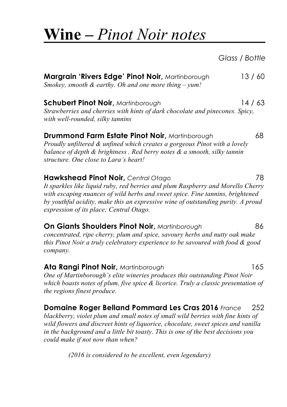# **Wine –** *Pinot Noir notes*

*Glass / Bottle*

| Margrain 'Rivers Edge' Pinot Noir, Martinborough                                                                                                                                                                                                                                                                                                    | 13/60 |
|-----------------------------------------------------------------------------------------------------------------------------------------------------------------------------------------------------------------------------------------------------------------------------------------------------------------------------------------------------|-------|
| Smokey, smooth $\&$ earthy. Oh and one more thing $-$ yum!                                                                                                                                                                                                                                                                                          |       |
| <b>Schubert Pinot Noir, Martinborough</b><br>Strawberries and cherries with hints of dark chocolate and pinecones. Spicy,<br>with well-rounded, silky tannins                                                                                                                                                                                       | 14/63 |
| <b>Drummond Farm Estate Pinot Noir, Martinborough</b><br>Proudly unfiltered & unfined which creates a gorgeous Pinot with a lovely<br>balance of depth $\&$ brightness . Red berry notes $\&$ a smooth, silky tannin<br>structure. One close to Lara's heart!                                                                                       | 68    |
| Hawkshead Pinot Noir, Central Otago<br>It sparkles like liquid ruby, red berries and plum Raspberry and Morello Cherry<br>with escaping nuances of wild herbs and sweet spice. Fine tannins, brightened<br>by youthful acidity, make this an expressive wine of outstanding purity. A proud<br>expression of its place; Central Otago.              | 78    |
| <b>On Giants Shoulders Pinot Noir, Martinborough</b><br>concentrated, ripe cherry, plum and spice, savoury herbs and nutty oak make<br>this Pinot Noir a truly celebratory experience to be savoured with food & good<br>company.                                                                                                                   | 86    |
| Ata Rangi Pinot Noir, Martinborough<br>One of Martinborough's elite wineries produces this outstanding Pinot Noir<br>which boasts notes of plum, five spice & licorice. Truly a classic presentation of<br>the regions finest produce.                                                                                                              | 165   |
| Domaine Roger Belland Pommard Les Cras 2016 France<br>blackberry, violet plum and small notes of small wild berries with fine hints of<br>wild flowers and discreet hints of liquorice, chocolate, sweet spices and vanilla<br>in the background and a little bit toasty. This is one of the best decisions you<br>could make if not now than when? | 252   |

*(2016 is considered to be excellent, even legendary)*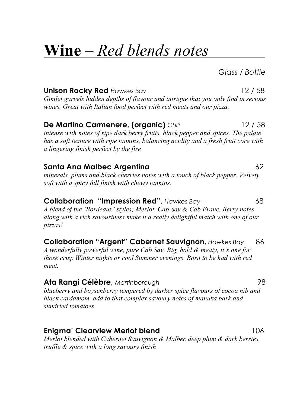# **Wine –** *Red blends notes*

*Glass / Bottle*

**Unison Rocky Red** *Hawkes Bay* 12 / 58 *Gimlet garvels hidden depths of flavour and intrigue that you only find in serious wines. Great with Italian food perfect with red meats and our pizza.*

### **De Martino Carmenere, (organic)** *Chili* 12 / 58

*intense with notes of ripe dark berry fruits, black pepper and spices. The palate has a soft texture with ripe tannins, balancing acidity and a fresh fruit core with a lingering finish perfect by the fire*

#### **Santa Ana Malbec Argentina** 62

*minerals, plums and black cherries notes with a touch of black pepper. Velvety soft with a spicy full finish with chewy tannins.*

#### **Collaboration "Impression Red",** *Hawkes Bay* 68

*A blend of the 'Bordeaux' styles; Merlot, Cab Sav & Cab Franc. Berry notes along with a rich savouriness make it a really delightful match with one of our pizzas!*

**Collaboration "Argent" Cabernet Sauvignon,** *Hawkes Bay* 86 *A wonderfully powerful wine, pure Cab Sav. Big, bold & meaty, it's one for those crisp Winter nights or cool Summer evenings. Born to be had with red meat.*

#### **Ata Rangi Célèbre,** *Martinborough* 98

*blueberry and boysenberry tempered by darker spice flavours of cocoa nib and black cardamom, add to that complex savoury notes of manuka bark and sundried tomatoes*

#### **Enigma' Clearview Merlot blend** 106

*Merlot blended with Cabernet Sauvignon & Malbec deep plum & dark berries, truffle & spice with a long savoury finish*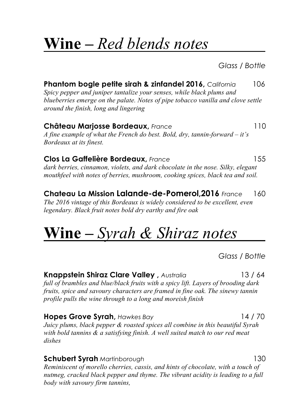# **Wine –** *Red blends notes*

*Glass / Bottle*

**Phantom bogle petite sirah & zinfandel 2016,** *California* 106 *Spicy pepper and juniper tantalize your senses, while black plums and blueberries emerge on the palate. Notes of pipe tobacco vanilla and clove settle around the finish, long and lingering* **Château Marjosse Bordeaux,** *France* 110 *A fine example of what the French do best. Bold, dry, tannin-forward – it's Bordeaux at its finest.*

**Clos La Gaffelière Bordeaux,** *France* 155 *dark berries, cinnamon, violets, and dark chocolate in the nose. Silky, elegant mouthfeel with notes of berries, mushroom, cooking spices, black tea and soil.*

**Chateau La Mission Lalande-de-Pomerol,2016** *France* 160 *The 2016 vintage of this Bordeaux is widely considered to be excellent, even legendary. Black fruit notes bold dry earthy and fire oak*

# **Wine –** *Syrah & Shiraz notes*

*Glass / Bottle*

#### **Knappstein Shiraz Clare Valley ,** *Australia* 13 / 64

*full of brambles and blue/black fruits with a spicy lift. Layers of brooding dark fruits, spice and savoury characters are framed in fine oak. The sinewy tannin profile pulls the wine through to a long and moreish finish*

**Hopes Grove Syrah,** *Hawkes Bay* 14 / 70

*Juicy plums, black pepper & roasted spices all combine in this beautiful Syrah with bold tannins & a satisfying finish. A well suited match to our red meat dishes* 

**Schubert Syrah** *Martinborough*130 *Reminiscent of morello cherries, cassis, and hints of chocolate, with a touch of nutmeg, cracked black pepper and thyme. The vibrant acidity is leading to a full body with savoury firm tannins,*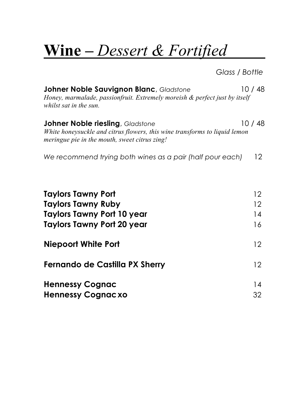# **Wine** *– Dessert & Fortified*

*Glass / Bottle*

| <b>Johner Noble Sauvignon Blanc, Gladstone</b><br>Honey, marmalade, passionfruit. Extremely moreish & perfect just by itself<br>whilst sat in the sun.                  | 10/48                |
|-------------------------------------------------------------------------------------------------------------------------------------------------------------------------|----------------------|
| <b>Johner Noble riesling</b> , Gladstone<br>White honeysuckle and citrus flowers, this wine transforms to liquid lemon<br>meringue pie in the mouth, sweet citrus zing! | 10 / 48              |
| We recommend trying both wines as a pair (half pour each)                                                                                                               | 12 <sup>2</sup>      |
| <b>Taylors Tawny Port</b><br><b>Taylors Tawny Ruby</b><br>Taylors Tawny Port 10 year<br><b>Taylors Tawny Port 20 year</b>                                               | 12<br>12<br>14<br>16 |
| <b>Niepoort White Port</b>                                                                                                                                              | 12                   |
| Fernando de Castilla PX Sherry                                                                                                                                          | 12                   |
| <b>Hennessy Cognac</b><br><b>Hennessy Cognacxo</b>                                                                                                                      | 14<br>32             |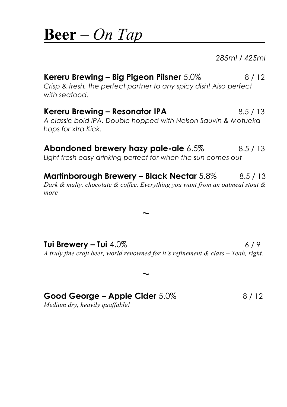### **Beer –** *On Tap*

*285ml / 425ml*

### **Kereru Brewing – Big Pigeon Pilsner** 5.0% 8/12 *Crisp & fresh, the perfect partner to any spicy dish! Also perfect with seafood.* **Kereru Brewing – Resonator IPA** 8.5 / 13 *A classic bold IPA. Double hopped with Nelson Sauvin & Motueka hops for xtra Kick.*

### **Abandoned brewery hazy pale-ale** 6.5% 8.5/13

*Light fresh easy drinking perfect for when the sun comes out*

**Martinborough Brewery – Black Nectar** 5.8% 8.5 / 13

*Dark & malty, chocolate & coffee. Everything you want from an oatmeal stout & more*

 $\sim$ 

 $\sim$ 

**Tui Brewery – Tui** 4.0% 6/9 *A truly fine craft beer, world renowned for it's refinement & class – Yeah, right.*

### **Good George – Apple Cider** 5.0% 8/12

*Medium dry, heavily quaffable!*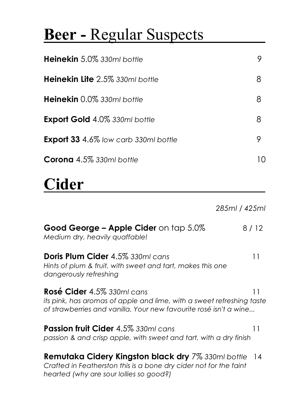# **Beer -** Regular Suspects

| <b>Heinekin</b> 5.0% 330ml bottle           |             |
|---------------------------------------------|-------------|
| <b>Heinekin Lite</b> 2.5% 330ml bottle      | 8           |
| Heinekin 0.0% 330ml bottle                  | 8           |
| <b>Export Gold 4.0% 330ml bottle</b>        | 8           |
| <b>Export 33 4.6%</b> low carb 330ml bottle |             |
| Corona 4.5% 330ml bottle                    | $\vert$ ( ) |

# **Cider**

*285ml / 425ml*

| Good George – Apple Cider on tap 5.0%<br>Medium dry, heavily quaffable!                                                                                                        | 8 / 12 |
|--------------------------------------------------------------------------------------------------------------------------------------------------------------------------------|--------|
| <b>Doris Plum Cider 4.5% 330ml cans</b><br>Hints of plum & fruit, with sweet and tart, makes this one<br>dangerously refreshing                                                | 11     |
| Rosé Cider 4.5% 330ml cans<br>11<br>its pink, has aromas of apple and lime, with a sweet refreshing taste<br>of strawberries and vanilla. Your new favourite rosé isn't a wine |        |
| <b>Passion fruit Cider 4.5% 330ml cans</b><br>passion & and crisp apple, with sweet and fart, with a dry finish                                                                | 11     |
| <b>Remutaka Cidery Kingston black dry</b> 7% 330ml bottle<br>Crafted in Featherston this is a bone dry cider not for the faint<br>hearted (why are sour lollies so good?)      | 14     |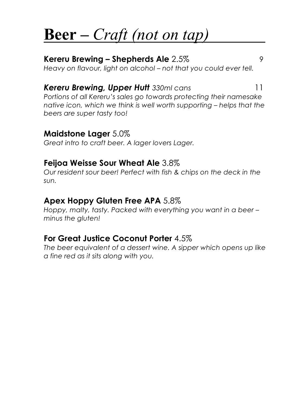# **Beer –** *Craft (not on tap)*

#### **Kereru Brewing – Shepherds Ale** 2.5% 9 *Heavy on flavour, light on alcohol – not that you could ever tell.*

#### *Kereru Brewing, Upper Hutt 330ml cans* 11

*Portions of all Kereru's sales go towards protecting their namesake native icon, which we think is well worth supporting – helps that the beers are super tasty too!* 

#### **Maidstone Lager** 5.0%

*Great intro to craft beer. A lager lovers Lager.*

#### **Feijoa Weisse Sour Wheat Ale** 3.8%

*Our resident sour beer! Perfect with fish & chips on the deck in the sun.*

#### **Apex Hoppy Gluten Free APA** 5.8%

*Hoppy, malty, tasty. Packed with everything you want in a beer – minus the gluten!*

#### **For Great Justice Coconut Porter** 4.5%

*The beer equivalent of a dessert wine. A sipper which opens up like a fine red as it sits along with you.*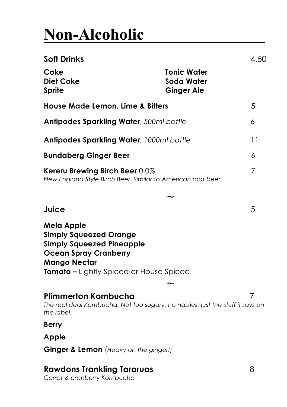# **Non-Alcoholic**

| Soft Drinks                                                                                                                                                                |                                                       | 4.50 |
|----------------------------------------------------------------------------------------------------------------------------------------------------------------------------|-------------------------------------------------------|------|
| Coke<br><b>Diet Coke</b><br>Sprite                                                                                                                                         | <b>Tonic Water</b><br>Soda Water<br><b>Ginger Ale</b> |      |
| House Made Lemon, Lime & Bitters                                                                                                                                           |                                                       | 5    |
| Antipodes Sparkling Water, 500ml bottle                                                                                                                                    |                                                       | 6    |
| <b>Antipodes Sparkling Water</b> , 1000ml bottle                                                                                                                           |                                                       | 11   |
| <b>Bundaberg Ginger Beer</b>                                                                                                                                               |                                                       | 6    |
| Kereru Brewing Birch Beer 0.0%<br>New England Style Birch Beer. Similar to American root beer                                                                              |                                                       | 7    |
|                                                                                                                                                                            |                                                       |      |
| Juice                                                                                                                                                                      |                                                       | 5    |
| Mela Apple<br>Simply Squeezed Orange<br><b>Simply Squeezed Pineapple</b><br><b>Ocean Spray Cranberry</b><br>Mango Nectar<br><b>Tomato –</b> Lightly Spiced or House Spiced |                                                       |      |
| Plimmerton Kombucha<br>The real deal Kombucha. Not too sugary, no nasties, just the stuff it says on<br>the label.                                                         |                                                       | 7    |
| <b>Berry</b>                                                                                                                                                               |                                                       |      |
| Apple                                                                                                                                                                      |                                                       |      |
| Ginger & Lemon (Heavy on the ginger!)                                                                                                                                      |                                                       |      |

### **Rawdons Trankling Tararuas** 8

*Carrot & cranberry Kombucha*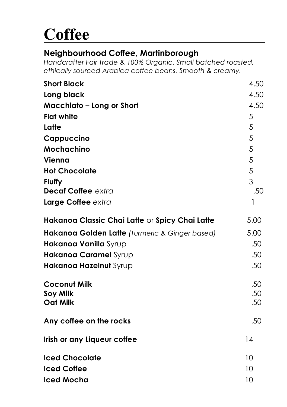# **Coffee**

### **Neighbourhood Coffee, Martinborough**

*Handcrafter Fair Trade & 100% Organic. Small batched roasted, ethically sourced Arabica coffee beans. Smooth & creamy.*

| <b>Short Black</b>                             | 4.50 |
|------------------------------------------------|------|
| Long black                                     | 4.50 |
| <b>Macchiato - Long or Short</b>               | 4.50 |
| <b>Flat white</b>                              | 5    |
| Latte                                          | 5    |
| Cappuccino                                     | 5    |
| Mochachino                                     | 5    |
| Vienna                                         | 5    |
| <b>Hot Chocolate</b>                           | 5    |
| <b>Fluffy</b>                                  | 3    |
| <b>Decaf Coffee extra</b>                      | .50  |
| Large Coffee extra                             | 1    |
| Hakanoa Classic Chai Latte or Spicy Chai Latte | 5.00 |
| Hakanoa Golden Latte (Turmeric & Ginger based) | 5.00 |
| Hakanoa Vanilla Syrup                          | .50  |
| Hakanoa Caramel Syrup                          | .50  |
| Hakanoa Hazelnut Syrup                         | .50  |
| <b>Coconut Milk</b>                            | .50  |
| <b>Soy Milk</b>                                | .50  |
| <b>Oat Milk</b>                                | .50  |
| Any coffee on the rocks                        | .50  |
| Irish or any Liqueur coffee                    | 14   |
| <b>Iced Chocolate</b>                          | 10   |
| <b>Iced Coffee</b>                             | 10   |
| <b>Iced Mocha</b>                              | 10   |
|                                                |      |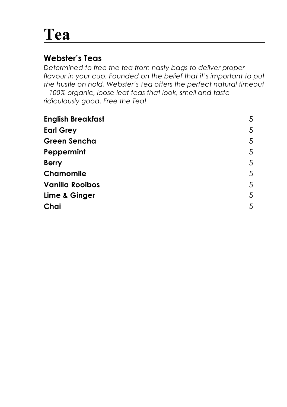# **Tea**

### **Webster's Teas**

*Determined to free the tea from nasty bags to deliver proper flavour in your cup. Founded on the belief that it's important to put the hustle on hold, Webster's Tea offers the perfect natural timeout – 100% organic, loose leaf teas that look, smell and taste ridiculously good. Free the Tea!*

| 5 |
|---|
| 5 |
| 5 |
| 5 |
| 5 |
| 5 |
| 5 |
| 5 |
| 5 |
|   |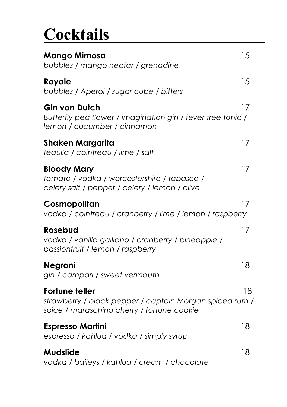# **Cocktails**

| Mango Mimosa<br>bubbles / mango nectar / grenadine                                                                             | 15 |
|--------------------------------------------------------------------------------------------------------------------------------|----|
| Royale<br>bubbles / Aperol / sugar cube / bitters                                                                              | 15 |
| Gin von Dutch<br>Butterfly pea flower / imagination gin / fever tree tonic /<br>lemon / cucumber / cinnamon                    | 17 |
| Shaken Margarita<br>tequila / cointreau / lime / salt                                                                          | 17 |
| <b>Bloody Mary</b><br>tomato / vodka / worcestershire / tabasco /<br>celery salt / pepper / celery / lemon / olive             | 17 |
| Cosmopolitan<br>vodka / cointreau / cranberry / lime / lemon / raspberry                                                       | 17 |
| Rosebud<br>vodka / vanilla galliano / cranberry / pineapple /<br>passionfruit / lemon / raspberry                              | 17 |
| <b>Negroni</b><br>gin / campari / sweet vermouth                                                                               | 18 |
| <b>Fortune teller</b><br>strawberry / black pepper / captain Morgan spiced rum /<br>spice / maraschino cherry / fortune cookie | 18 |
| <b>Espresso Martini</b><br>espresso / kahlua / vodka / simply syrup                                                            | 18 |
| Mudslide<br>vodka / baileys / kahlua / cream / chocolate                                                                       | 18 |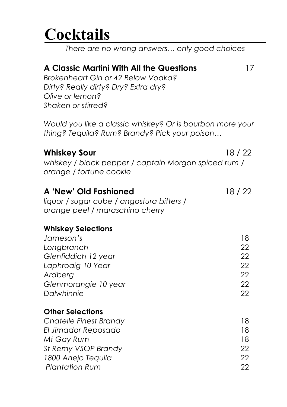# **Cocktails**

*There are no wrong answers… only good choices*

### **A Classic Martini With All the Questions** 17

*Brokenheart Gin or 42 Below Vodka? Dirty? Really dirty? Dry? Extra dry? Olive or lemon? Shaken or stirred?*

*Would you like a classic whiskey? Or is bourbon more your thing? Tequila? Rum? Brandy? Pick your poison…*

| <b>Whiskey Sour</b>                                                                                   | 18/22 |
|-------------------------------------------------------------------------------------------------------|-------|
| whiskey / black pepper / captain Morgan spiced rum /<br>orange / fortune cookie                       |       |
| A 'New' Old Fashioned<br>liquor / sugar cube / angostura bitters /<br>orange peel / maraschino cherry | 18/22 |
| <b>Whiskey Selections</b>                                                                             |       |
| Jameson's                                                                                             | 18    |
| Longbranch                                                                                            | 22    |
| Glenfiddich 12 year                                                                                   | 22    |
| Laphroaig 10 Year                                                                                     | 22    |
| Ardberg                                                                                               | 22    |
| Glenmorangie 10 year                                                                                  | 22    |
| Dalwhinnie                                                                                            | 22    |
| <b>Other Selections</b>                                                                               |       |
| Chatelle Finest Brandy                                                                                | 18    |
| El Jimador Reposado                                                                                   | 18    |
| Mt Gay Rum                                                                                            | 18    |
| St Remy VSOP Brandy                                                                                   | 22    |
| 1800 Anejo Tequila                                                                                    | 22    |

*Plantation Rum* 22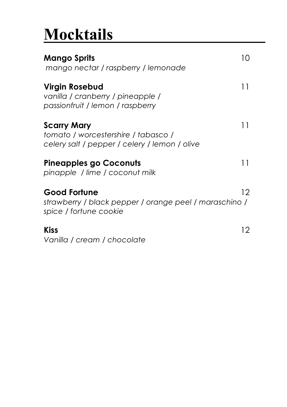# **Mocktails**

| Mango Sprits<br>mango nectar / raspberry / lemonade                                                        | 10.             |
|------------------------------------------------------------------------------------------------------------|-----------------|
| Virgin Rosebud<br>vanilla / cranberry / pineapple /<br>passionfruit / lemon / raspberry                    | 11              |
| <b>Scarry Mary</b><br>tomato / worcestershire / tabasco /<br>celery salt / pepper / celery / lemon / olive | 11              |
| <b>Pineapples go Coconuts</b><br>pinapple / lime / coconut milk                                            | 11              |
| <b>Good Fortune</b><br>strawberry / black pepper / orange peel / maraschino /<br>spice / fortune cookie    | 12 <sup>°</sup> |
| <b>Kiss</b><br>Vanilla / cream / chocolate                                                                 | 12.             |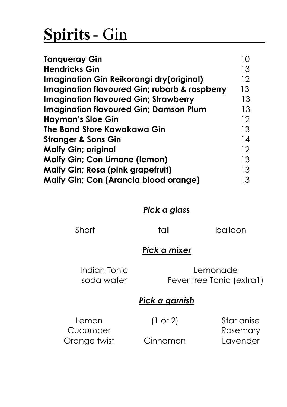# **Spirits**- Gin

| <b>Tanqueray Gin</b>                                     | 10                |
|----------------------------------------------------------|-------------------|
| <b>Hendricks Gin</b>                                     | 13                |
| Imagination Gin Reikorangi dry(original)                 | 12                |
| <b>Imagination flavoured Gin; rubarb &amp; raspberry</b> | 13                |
| <b>Imagination flavoured Gin; Strawberry</b>             | 13                |
| <b>Imagination flavoured Gin; Damson Plum</b>            | 13                |
| <b>Hayman's Sloe Gin</b>                                 | $12 \overline{ }$ |
| The Bond Store Kawakawa Gin                              | 13                |
| <b>Stranger &amp; Sons Gin</b>                           | 14                |
| <b>Malfy Gin; original</b>                               | 12                |
| <b>Malfy Gin; Con Limone (lemon)</b>                     | 13                |
| <b>Malfy Gin; Rosa (pink grapefruit)</b>                 | 13                |
| <b>Malfy Gin; Con (Arancia blood orange)</b>             | 13                |

#### *Pick a glass*

Short tall balloon

### *Pick a mixer*

Indian Tonic soda water

Lemonade Fever tree Tonic (extra1)

#### *Pick a garnish*

Lemon Cucumber Orange twist (1 or 2)

Cinnamon

Star anise Rosemary Lavender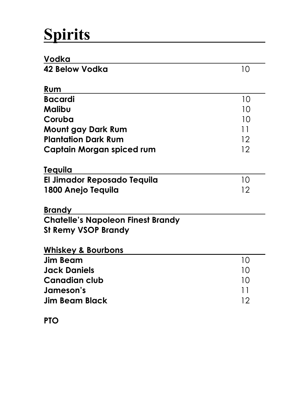# **Spirits**

| Vodka                                    |    |
|------------------------------------------|----|
| 42 Below Vodka                           | 10 |
| Rum                                      |    |
| <b>Bacardi</b>                           | 10 |
| Malibu                                   | 10 |
| Coruba                                   | 10 |
| Mount gay Dark Rum                       | 11 |
| <b>Plantation Dark Rum</b>               | 12 |
| Captain Morgan spiced rum                | 12 |
| Tequila                                  |    |
| El Jimador Reposado Tequila              | 10 |
| 1800 Anejo Tequila                       | 12 |
| <b>Brandy</b>                            |    |
| <b>Chatelle's Napoleon Finest Brandy</b> |    |
| <b>St Remy VSOP Brandy</b>               |    |
| <b>Whiskey &amp; Bourbons</b>            |    |
| <b>Jim Beam</b>                          | 10 |
| <b>Jack Daniels</b>                      | 10 |
| <b>Canadian club</b>                     | 10 |
| Jameson's                                | 11 |
| <b>Jim Beam Black</b>                    | 12 |
|                                          |    |

**PTO**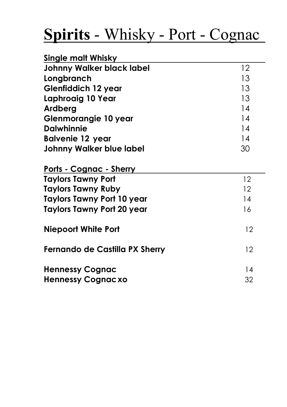# **Spirits** - Whisky - Port - Cognac

| Single malt Whisky               |                   |
|----------------------------------|-------------------|
| <b>Johnny Walker black label</b> | $12 \overline{ }$ |
| Longbranch                       | 13                |
| <b>Glenfiddich 12 year</b>       | 13                |
| Laphroaig 10 Year                | 13                |
| Ardberg                          | 14                |
| Glenmorangie 10 year             | 14                |
| <b>Dalwhinnie</b>                | 14                |
| <b>Balvenie 12 year</b>          | 14                |
| <b>Johnny Walker blue label</b>  | 30                |
| Ports - Cognac - Sherry          |                   |
| <b>Taylors Tawny Port</b>        | 12                |
| Taylors Tawny Ruby               | 12                |
| Taylors Tawny Port 10 year       | 14                |
| Taylors Tawny Port 20 year       | 16                |
| <b>Niepoort White Port</b>       | 12                |
| Fernando de Castilla PX Sherry   | 12                |
| <b>Hennessy Cognac</b>           | 14                |
| <b>Hennessy Cognacxo</b>         | 32                |